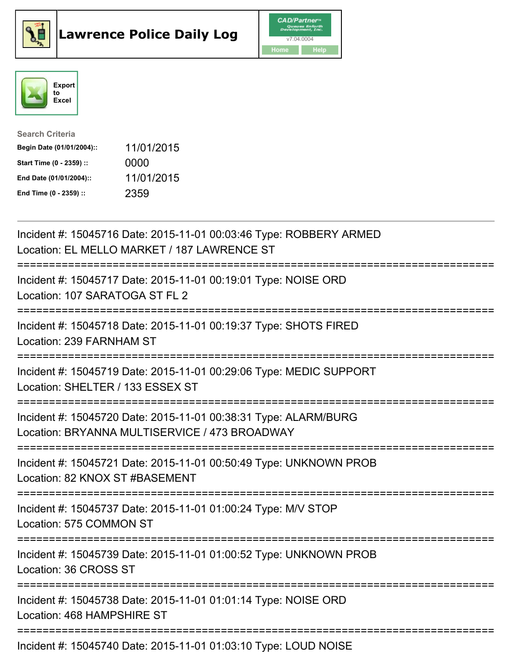





| <b>Search Criteria</b>    |            |
|---------------------------|------------|
| Begin Date (01/01/2004):: | 11/01/2015 |
| Start Time (0 - 2359) ::  | 0000       |
| End Date (01/01/2004)::   | 11/01/2015 |
| End Time (0 - 2359) ::    | 2359       |

| Incident #: 15045716 Date: 2015-11-01 00:03:46 Type: ROBBERY ARMED<br>Location: EL MELLO MARKET / 187 LAWRENCE ST                                   |
|-----------------------------------------------------------------------------------------------------------------------------------------------------|
| Incident #: 15045717 Date: 2015-11-01 00:19:01 Type: NOISE ORD<br>Location: 107 SARATOGA ST FL 2                                                    |
| Incident #: 15045718 Date: 2015-11-01 00:19:37 Type: SHOTS FIRED<br>Location: 239 FARNHAM ST                                                        |
| Incident #: 15045719 Date: 2015-11-01 00:29:06 Type: MEDIC SUPPORT<br>Location: SHELTER / 133 ESSEX ST<br>===============                           |
| Incident #: 15045720 Date: 2015-11-01 00:38:31 Type: ALARM/BURG<br>Location: BRYANNA MULTISERVICE / 473 BROADWAY<br>=============================== |
| Incident #: 15045721 Date: 2015-11-01 00:50:49 Type: UNKNOWN PROB<br>Location: 82 KNOX ST #BASEMENT                                                 |
| Incident #: 15045737 Date: 2015-11-01 01:00:24 Type: M/V STOP<br>Location: 575 COMMON ST                                                            |
| Incident #: 15045739 Date: 2015-11-01 01:00:52 Type: UNKNOWN PROB<br>Location: 36 CROSS ST                                                          |
| Incident #: 15045738 Date: 2015-11-01 01:01:14 Type: NOISE ORD<br>Location: 468 HAMPSHIRE ST                                                        |
| Incident #: 15045740 Date: 2015-11-01 01:03:10 Type: LOUD NOISE                                                                                     |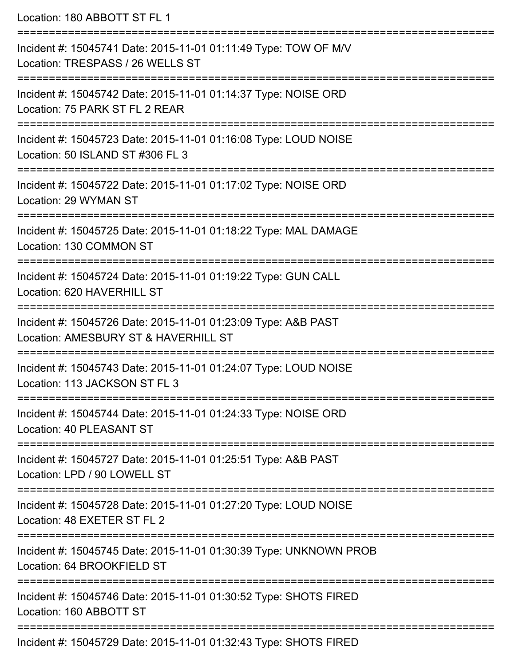Location: 180 ABBOTT ST FL 1 =========================================================================== Incident #: 15045741 Date: 2015-11-01 01:11:49 Type: TOW OF M/V Location: TRESPASS / 26 WELLS ST =========================================================================== Incident #: 15045742 Date: 2015-11-01 01:14:37 Type: NOISE ORD Location: 75 PARK ST FL 2 REAR =========================================================================== Incident #: 15045723 Date: 2015-11-01 01:16:08 Type: LOUD NOISE Location: 50 ISLAND ST #306 FL 3 =========================================================================== Incident #: 15045722 Date: 2015-11-01 01:17:02 Type: NOISE ORD Location: 29 WYMAN ST =========================================================================== Incident #: 15045725 Date: 2015-11-01 01:18:22 Type: MAL DAMAGE Location: 130 COMMON ST =========================================================================== Incident #: 15045724 Date: 2015-11-01 01:19:22 Type: GUN CALL Location: 620 HAVERHILL ST =========================================================================== Incident #: 15045726 Date: 2015-11-01 01:23:09 Type: A&B PAST Location: AMESBURY ST & HAVERHILL ST =========================================================================== Incident #: 15045743 Date: 2015-11-01 01:24:07 Type: LOUD NOISE Location: 113 JACKSON ST FL 3 =========================================================================== Incident #: 15045744 Date: 2015-11-01 01:24:33 Type: NOISE ORD Location: 40 PLEASANT ST =========================================================================== Incident #: 15045727 Date: 2015-11-01 01:25:51 Type: A&B PAST Location: LPD / 90 LOWELL ST =========================================================================== Incident #: 15045728 Date: 2015-11-01 01:27:20 Type: LOUD NOISE Location: 48 EXETER ST FL 2 =========================================================================== Incident #: 15045745 Date: 2015-11-01 01:30:39 Type: UNKNOWN PROB Location: 64 BROOKFIELD ST =========================================================================== Incident #: 15045746 Date: 2015-11-01 01:30:52 Type: SHOTS FIRED Location: 160 ABBOTT ST =========================================================================== Incident #: 15045729 Date: 2015-11-01 01:32:43 Type: SHOTS FIRED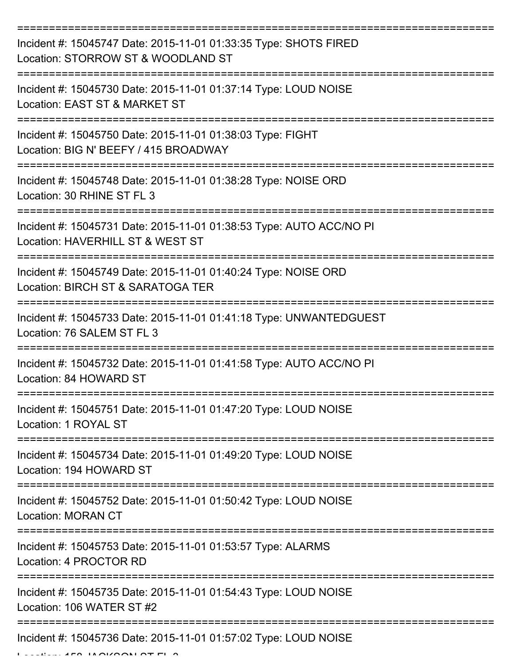| Incident #: 15045747 Date: 2015-11-01 01:33:35 Type: SHOTS FIRED<br>Location: STORROW ST & WOODLAND ST  |
|---------------------------------------------------------------------------------------------------------|
| Incident #: 15045730 Date: 2015-11-01 01:37:14 Type: LOUD NOISE<br>Location: EAST ST & MARKET ST        |
| Incident #: 15045750 Date: 2015-11-01 01:38:03 Type: FIGHT<br>Location: BIG N' BEEFY / 415 BROADWAY     |
| Incident #: 15045748 Date: 2015-11-01 01:38:28 Type: NOISE ORD<br>Location: 30 RHINE ST FL 3            |
| Incident #: 15045731 Date: 2015-11-01 01:38:53 Type: AUTO ACC/NO PI<br>Location: HAVERHILL ST & WEST ST |
| Incident #: 15045749 Date: 2015-11-01 01:40:24 Type: NOISE ORD<br>Location: BIRCH ST & SARATOGA TER     |
| Incident #: 15045733 Date: 2015-11-01 01:41:18 Type: UNWANTEDGUEST<br>Location: 76 SALEM ST FL 3        |
| Incident #: 15045732 Date: 2015-11-01 01:41:58 Type: AUTO ACC/NO PI<br>Location: 84 HOWARD ST           |
| Incident #: 15045751 Date: 2015-11-01 01:47:20 Type: LOUD NOISE<br>Location: 1 ROYAL ST                 |
| Incident #: 15045734 Date: 2015-11-01 01:49:20 Type: LOUD NOISE<br>Location: 194 HOWARD ST              |
| Incident #: 15045752 Date: 2015-11-01 01:50:42 Type: LOUD NOISE<br>Location: MORAN CT                   |
| Incident #: 15045753 Date: 2015-11-01 01:53:57 Type: ALARMS<br>Location: 4 PROCTOR RD                   |
| Incident #: 15045735 Date: 2015-11-01 01:54:43 Type: LOUD NOISE<br>Location: 106 WATER ST #2            |
| Incident #: 15045736 Date: 2015-11-01 01:57:02 Type: LOUD NOISE                                         |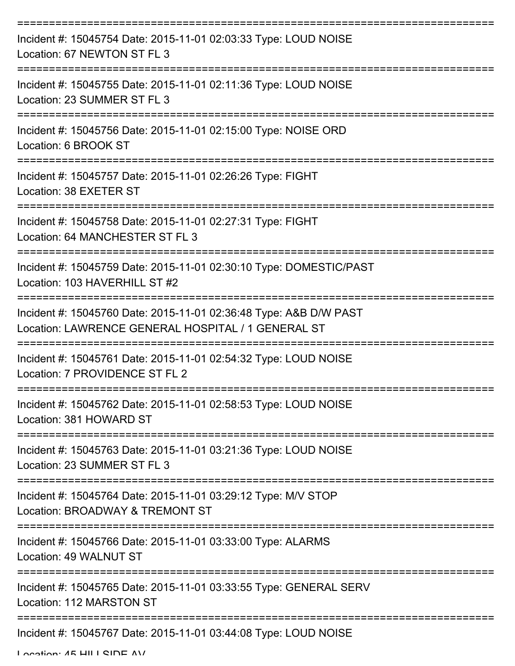| Incident #: 15045754 Date: 2015-11-01 02:03:33 Type: LOUD NOISE<br>Location: 67 NEWTON ST FL 3                          |
|-------------------------------------------------------------------------------------------------------------------------|
| Incident #: 15045755 Date: 2015-11-01 02:11:36 Type: LOUD NOISE<br>Location: 23 SUMMER ST FL 3                          |
| Incident #: 15045756 Date: 2015-11-01 02:15:00 Type: NOISE ORD<br>Location: 6 BROOK ST                                  |
| Incident #: 15045757 Date: 2015-11-01 02:26:26 Type: FIGHT<br>Location: 38 EXETER ST                                    |
| Incident #: 15045758 Date: 2015-11-01 02:27:31 Type: FIGHT<br>Location: 64 MANCHESTER ST FL 3                           |
| Incident #: 15045759 Date: 2015-11-01 02:30:10 Type: DOMESTIC/PAST<br>Location: 103 HAVERHILL ST #2                     |
| Incident #: 15045760 Date: 2015-11-01 02:36:48 Type: A&B D/W PAST<br>Location: LAWRENCE GENERAL HOSPITAL / 1 GENERAL ST |
| Incident #: 15045761 Date: 2015-11-01 02:54:32 Type: LOUD NOISE<br>Location: 7 PROVIDENCE ST FL 2                       |
| Incident #: 15045762 Date: 2015-11-01 02:58:53 Type: LOUD NOISE<br>Location: 381 HOWARD ST                              |
| Incident #: 15045763 Date: 2015-11-01 03:21:36 Type: LOUD NOISE<br>Location: 23 SUMMER ST FL 3                          |
| Incident #: 15045764 Date: 2015-11-01 03:29:12 Type: M/V STOP<br>Location: BROADWAY & TREMONT ST                        |
| Incident #: 15045766 Date: 2015-11-01 03:33:00 Type: ALARMS<br>Location: 49 WALNUT ST                                   |
| Incident #: 15045765 Date: 2015-11-01 03:33:55 Type: GENERAL SERV<br>Location: 112 MARSTON ST                           |
| Incident #: 15045767 Date: 2015-11-01 03:44:08 Type: LOUD NOISE                                                         |

Location: 45 HILL CIDE AV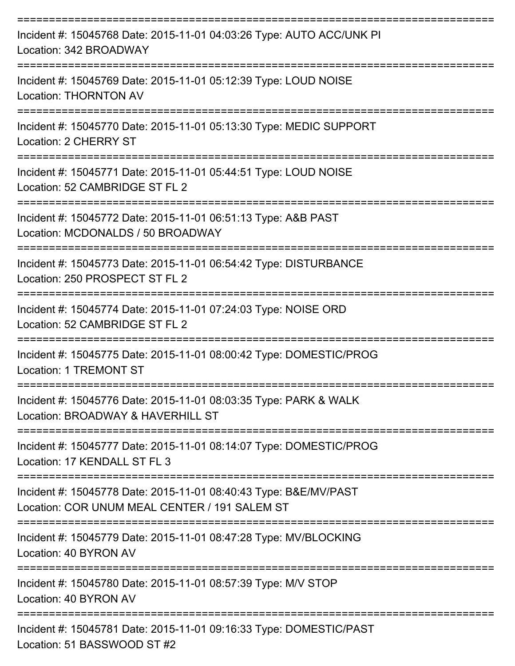| Incident #: 15045768 Date: 2015-11-01 04:03:26 Type: AUTO ACC/UNK PI<br>Location: 342 BROADWAY                    |
|-------------------------------------------------------------------------------------------------------------------|
| Incident #: 15045769 Date: 2015-11-01 05:12:39 Type: LOUD NOISE<br><b>Location: THORNTON AV</b>                   |
| Incident #: 15045770 Date: 2015-11-01 05:13:30 Type: MEDIC SUPPORT<br>Location: 2 CHERRY ST                       |
| Incident #: 15045771 Date: 2015-11-01 05:44:51 Type: LOUD NOISE<br>Location: 52 CAMBRIDGE ST FL 2                 |
| Incident #: 15045772 Date: 2015-11-01 06:51:13 Type: A&B PAST<br>Location: MCDONALDS / 50 BROADWAY                |
| Incident #: 15045773 Date: 2015-11-01 06:54:42 Type: DISTURBANCE<br>Location: 250 PROSPECT ST FL 2                |
| Incident #: 15045774 Date: 2015-11-01 07:24:03 Type: NOISE ORD<br>Location: 52 CAMBRIDGE ST FL 2                  |
| Incident #: 15045775 Date: 2015-11-01 08:00:42 Type: DOMESTIC/PROG<br>Location: 1 TREMONT ST                      |
| Incident #: 15045776 Date: 2015-11-01 08:03:35 Type: PARK & WALK<br>Location: BROADWAY & HAVERHILL ST             |
| Incident #: 15045777 Date: 2015-11-01 08:14:07 Type: DOMESTIC/PROG<br>Location: 17 KENDALL ST FL 3                |
| Incident #: 15045778 Date: 2015-11-01 08:40:43 Type: B&E/MV/PAST<br>Location: COR UNUM MEAL CENTER / 191 SALEM ST |
| Incident #: 15045779 Date: 2015-11-01 08:47:28 Type: MV/BLOCKING<br>Location: 40 BYRON AV                         |
| Incident #: 15045780 Date: 2015-11-01 08:57:39 Type: M/V STOP<br>Location: 40 BYRON AV                            |
| Incident #: 15045781 Date: 2015-11-01 09:16:33 Type: DOMESTIC/PAST<br>Location: 51 BASSWOOD ST #2                 |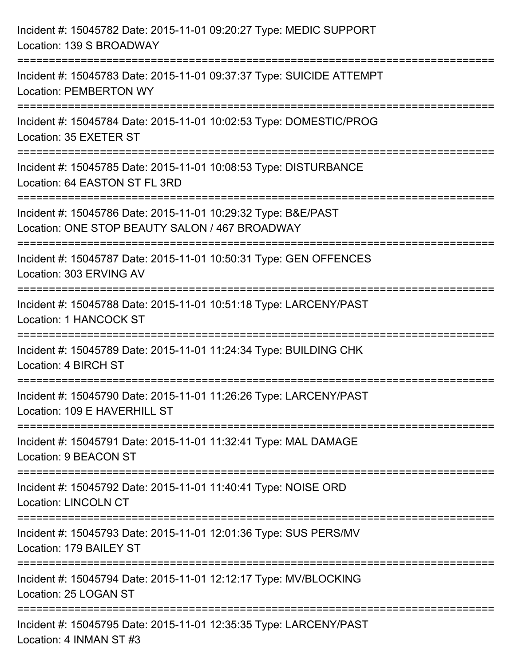| Incident #: 15045782 Date: 2015-11-01 09:20:27 Type: MEDIC SUPPORT<br>Location: 139 S BROADWAY                                              |
|---------------------------------------------------------------------------------------------------------------------------------------------|
| Incident #: 15045783 Date: 2015-11-01 09:37:37 Type: SUICIDE ATTEMPT<br><b>Location: PEMBERTON WY</b>                                       |
| Incident #: 15045784 Date: 2015-11-01 10:02:53 Type: DOMESTIC/PROG<br>Location: 35 EXETER ST<br>=============================               |
| Incident #: 15045785 Date: 2015-11-01 10:08:53 Type: DISTURBANCE<br>Location: 64 EASTON ST FL 3RD                                           |
| Incident #: 15045786 Date: 2015-11-01 10:29:32 Type: B&E/PAST<br>Location: ONE STOP BEAUTY SALON / 467 BROADWAY<br>:======================= |
| Incident #: 15045787 Date: 2015-11-01 10:50:31 Type: GEN OFFENCES<br>Location: 303 ERVING AV                                                |
| Incident #: 15045788 Date: 2015-11-01 10:51:18 Type: LARCENY/PAST<br>Location: 1 HANCOCK ST<br>================================             |
| Incident #: 15045789 Date: 2015-11-01 11:24:34 Type: BUILDING CHK<br>Location: 4 BIRCH ST                                                   |
| Incident #: 15045790 Date: 2015-11-01 11:26:26 Type: LARCENY/PAST<br>Location: 109 E HAVERHILL ST                                           |
| Incident #: 15045791 Date: 2015-11-01 11:32:41 Type: MAL DAMAGE<br>Location: 9 BEACON ST                                                    |
| Incident #: 15045792 Date: 2015-11-01 11:40:41 Type: NOISE ORD<br><b>Location: LINCOLN CT</b>                                               |
| Incident #: 15045793 Date: 2015-11-01 12:01:36 Type: SUS PERS/MV<br>Location: 179 BAILEY ST                                                 |
| Incident #: 15045794 Date: 2015-11-01 12:12:17 Type: MV/BLOCKING<br>Location: 25 LOGAN ST                                                   |
| ===================================<br>Incident #: 15045795 Date: 2015-11-01 12:35:35 Type: LARCENY/PAST<br>Location: 4 INMAN ST #3         |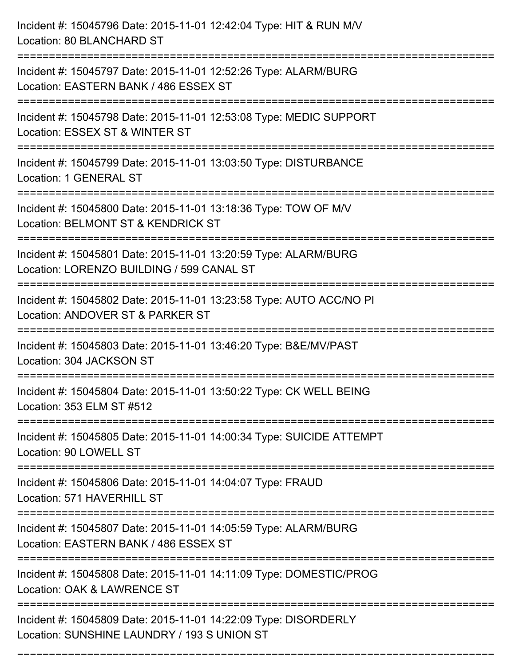| Incident #: 15045796 Date: 2015-11-01 12:42:04 Type: HIT & RUN M/V<br>Location: 80 BLANCHARD ST<br>================================= |
|--------------------------------------------------------------------------------------------------------------------------------------|
| Incident #: 15045797 Date: 2015-11-01 12:52:26 Type: ALARM/BURG<br>Location: EASTERN BANK / 486 ESSEX ST                             |
| Incident #: 15045798 Date: 2015-11-01 12:53:08 Type: MEDIC SUPPORT<br>Location: ESSEX ST & WINTER ST                                 |
| Incident #: 15045799 Date: 2015-11-01 13:03:50 Type: DISTURBANCE<br>Location: 1 GENERAL ST                                           |
| Incident #: 15045800 Date: 2015-11-01 13:18:36 Type: TOW OF M/V<br>Location: BELMONT ST & KENDRICK ST<br>-------------------         |
| Incident #: 15045801 Date: 2015-11-01 13:20:59 Type: ALARM/BURG<br>Location: LORENZO BUILDING / 599 CANAL ST                         |
| Incident #: 15045802 Date: 2015-11-01 13:23:58 Type: AUTO ACC/NO PI<br>Location: ANDOVER ST & PARKER ST                              |
| Incident #: 15045803 Date: 2015-11-01 13:46:20 Type: B&E/MV/PAST<br>Location: 304 JACKSON ST                                         |
| Incident #: 15045804 Date: 2015-11-01 13:50:22 Type: CK WELL BEING<br>Location: 353 ELM ST #512                                      |
| Incident #: 15045805 Date: 2015-11-01 14:00:34 Type: SUICIDE ATTEMPT<br>Location: 90 LOWELL ST                                       |
| Incident #: 15045806 Date: 2015-11-01 14:04:07 Type: FRAUD<br>Location: 571 HAVERHILL ST                                             |
| Incident #: 15045807 Date: 2015-11-01 14:05:59 Type: ALARM/BURG<br>Location: EASTERN BANK / 486 ESSEX ST                             |
| Incident #: 15045808 Date: 2015-11-01 14:11:09 Type: DOMESTIC/PROG<br>Location: OAK & LAWRENCE ST                                    |
| Incident #: 15045809 Date: 2015-11-01 14:22:09 Type: DISORDERLY<br>Location: SUNSHINE LAUNDRY / 193 S UNION ST                       |

===========================================================================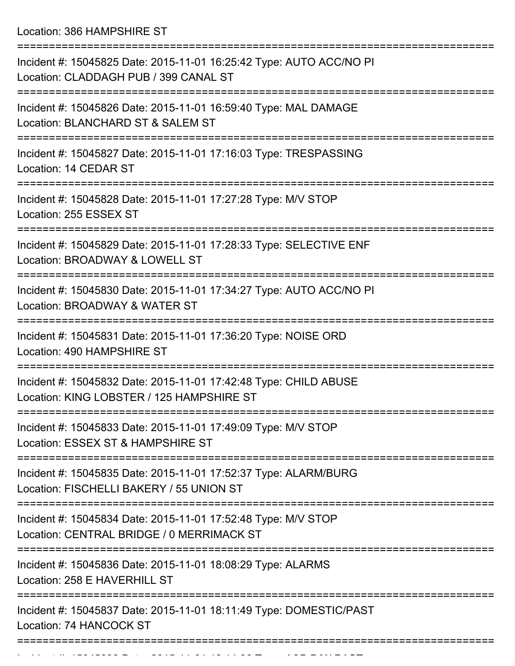Location: 386 HAMPSHIRE ST

| Incident #: 15045825 Date: 2015-11-01 16:25:42 Type: AUTO ACC/NO PI<br>Location: CLADDAGH PUB / 399 CANAL ST                         |
|--------------------------------------------------------------------------------------------------------------------------------------|
| Incident #: 15045826 Date: 2015-11-01 16:59:40 Type: MAL DAMAGE<br>Location: BLANCHARD ST & SALEM ST                                 |
| Incident #: 15045827 Date: 2015-11-01 17:16:03 Type: TRESPASSING<br>Location: 14 CEDAR ST                                            |
| Incident #: 15045828 Date: 2015-11-01 17:27:28 Type: M/V STOP<br>Location: 255 ESSEX ST                                              |
| Incident #: 15045829 Date: 2015-11-01 17:28:33 Type: SELECTIVE ENF<br>Location: BROADWAY & LOWELL ST                                 |
| Incident #: 15045830 Date: 2015-11-01 17:34:27 Type: AUTO ACC/NO PI<br>Location: BROADWAY & WATER ST                                 |
| Incident #: 15045831 Date: 2015-11-01 17:36:20 Type: NOISE ORD<br>Location: 490 HAMPSHIRE ST                                         |
| Incident #: 15045832 Date: 2015-11-01 17:42:48 Type: CHILD ABUSE<br>Location: KING LOBSTER / 125 HAMPSHIRE ST<br>=================== |
| Incident #: 15045833 Date: 2015-11-01 17:49:09 Type: M/V STOP<br>Location: ESSEX ST & HAMPSHIRE ST                                   |
| Incident #: 15045835 Date: 2015-11-01 17:52:37 Type: ALARM/BURG<br>Location: FISCHELLI BAKERY / 55 UNION ST                          |
| Incident #: 15045834 Date: 2015-11-01 17:52:48 Type: M/V STOP<br>Location: CENTRAL BRIDGE / 0 MERRIMACK ST                           |
| Incident #: 15045836 Date: 2015-11-01 18:08:29 Type: ALARMS<br>Location: 258 E HAVERHILL ST                                          |
| Incident #: 15045837 Date: 2015-11-01 18:11:49 Type: DOMESTIC/PAST<br>Location: 74 HANCOCK ST                                        |
|                                                                                                                                      |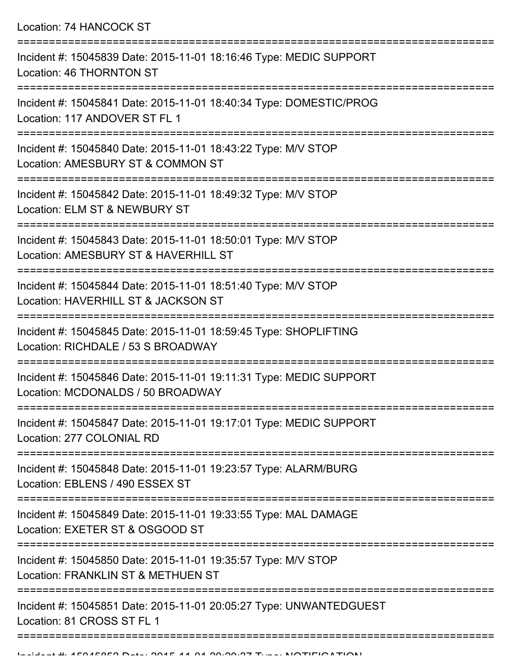Location: 74 HANCOCK ST

| Incident #: 15045839 Date: 2015-11-01 18:16:46 Type: MEDIC SUPPORT<br>Location: 46 THORNTON ST                             |
|----------------------------------------------------------------------------------------------------------------------------|
| Incident #: 15045841 Date: 2015-11-01 18:40:34 Type: DOMESTIC/PROG<br>Location: 117 ANDOVER ST FL 1                        |
| Incident #: 15045840 Date: 2015-11-01 18:43:22 Type: M/V STOP<br>Location: AMESBURY ST & COMMON ST                         |
| Incident #: 15045842 Date: 2015-11-01 18:49:32 Type: M/V STOP<br>Location: ELM ST & NEWBURY ST                             |
| Incident #: 15045843 Date: 2015-11-01 18:50:01 Type: M/V STOP<br>Location: AMESBURY ST & HAVERHILL ST                      |
| Incident #: 15045844 Date: 2015-11-01 18:51:40 Type: M/V STOP<br>Location: HAVERHILL ST & JACKSON ST                       |
| Incident #: 15045845 Date: 2015-11-01 18:59:45 Type: SHOPLIFTING<br>Location: RICHDALE / 53 S BROADWAY                     |
| Incident #: 15045846 Date: 2015-11-01 19:11:31 Type: MEDIC SUPPORT<br>Location: MCDONALDS / 50 BROADWAY                    |
| Incident #: 15045847 Date: 2015-11-01 19:17:01 Type: MEDIC SUPPORT<br>Location: 277 COLONIAL RD<br>_______________________ |
| Incident #: 15045848 Date: 2015-11-01 19:23:57 Type: ALARM/BURG<br>Location: EBLENS / 490 ESSEX ST                         |
| Incident #: 15045849 Date: 2015-11-01 19:33:55 Type: MAL DAMAGE<br>Location: EXETER ST & OSGOOD ST                         |
| Incident #: 15045850 Date: 2015-11-01 19:35:57 Type: M/V STOP<br>Location: FRANKLIN ST & METHUEN ST                        |
| Incident #: 15045851 Date: 2015-11-01 20:05:27 Type: UNWANTEDGUEST<br>Location: 81 CROSS ST FL 1                           |
|                                                                                                                            |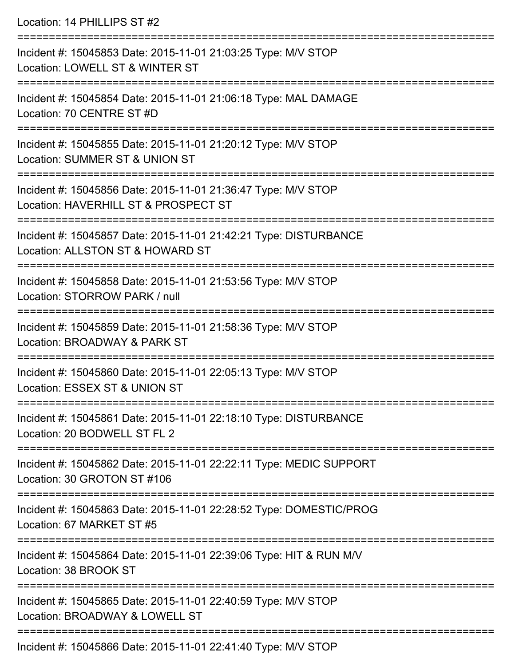Location: 14 PHILLIPS ST #2 =========================================================================== Incident #: 15045853 Date: 2015-11-01 21:03:25 Type: M/V STOP Location: LOWELL ST & WINTER ST =========================================================================== Incident #: 15045854 Date: 2015-11-01 21:06:18 Type: MAL DAMAGE Location: 70 CENTRE ST #D =========================================================================== Incident #: 15045855 Date: 2015-11-01 21:20:12 Type: M/V STOP Location: SUMMER ST & UNION ST =========================================================================== Incident #: 15045856 Date: 2015-11-01 21:36:47 Type: M/V STOP Location: HAVERHILL ST & PROSPECT ST =========================================================================== Incident #: 15045857 Date: 2015-11-01 21:42:21 Type: DISTURBANCE Location: ALLSTON ST & HOWARD ST =========================================================================== Incident #: 15045858 Date: 2015-11-01 21:53:56 Type: M/V STOP Location: STORROW PARK / null =========================================================================== Incident #: 15045859 Date: 2015-11-01 21:58:36 Type: M/V STOP Location: BROADWAY & PARK ST =========================================================================== Incident #: 15045860 Date: 2015-11-01 22:05:13 Type: M/V STOP Location: ESSEX ST & UNION ST =========================================================================== Incident #: 15045861 Date: 2015-11-01 22:18:10 Type: DISTURBANCE Location: 20 BODWELL ST FL 2 =========================================================================== Incident #: 15045862 Date: 2015-11-01 22:22:11 Type: MEDIC SUPPORT Location: 30 GROTON ST #106 =========================================================================== Incident #: 15045863 Date: 2015-11-01 22:28:52 Type: DOMESTIC/PROG Location: 67 MARKET ST #5 =========================================================================== Incident #: 15045864 Date: 2015-11-01 22:39:06 Type: HIT & RUN M/V Location: 38 BROOK ST

Incident #: 15045865 Date: 2015-11-01 22:40:59 Type: M/V STOP Location: BROADWAY & LOWELL ST

===========================================================================

===========================================================================

Incident #: 15045866 Date: 2015-11-01 22:41:40 Type: M/V STOP